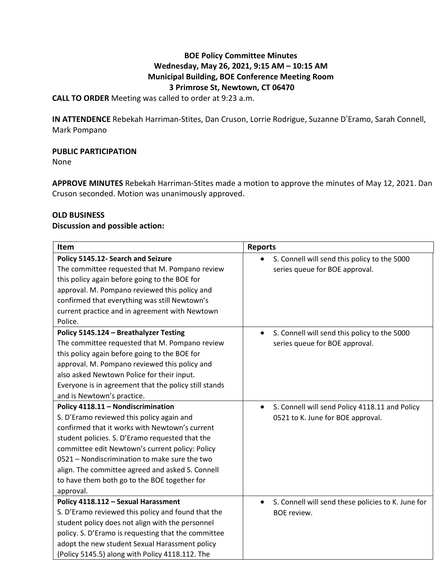# **BOE Policy Committee Minutes Wednesday, May 26, 2021, 9:15 AM – 10:15 AM Municipal Building, BOE Conference Meeting Room 3 Primrose St, Newtown, CT 06470**

**CALL TO ORDER** Meeting was called to order at 9:23 a.m.

**IN ATTENDENCE** Rebekah Harriman-Stites, Dan Cruson, Lorrie Rodrigue, Suzanne D'Eramo, Sarah Connell, Mark Pompano

### **PUBLIC PARTICIPATION**

None

**APPROVE MINUTES** Rebekah Harriman-Stites made a motion to approve the minutes of May 12, 2021. Dan Cruson seconded. Motion was unanimously approved.

### **OLD BUSINESS**

### **Discussion and possible action:**

| Item                                                                                                                                                                                                                                                                                                                                                                                                      | <b>Reports</b>                                                                                   |
|-----------------------------------------------------------------------------------------------------------------------------------------------------------------------------------------------------------------------------------------------------------------------------------------------------------------------------------------------------------------------------------------------------------|--------------------------------------------------------------------------------------------------|
| Policy 5145.12- Search and Seizure<br>The committee requested that M. Pompano review<br>this policy again before going to the BOE for<br>approval. M. Pompano reviewed this policy and<br>confirmed that everything was still Newtown's<br>current practice and in agreement with Newtown<br>Police.                                                                                                      | S. Connell will send this policy to the 5000<br>series queue for BOE approval.                   |
| Policy 5145.124 - Breathalyzer Testing<br>The committee requested that M. Pompano review<br>this policy again before going to the BOE for<br>approval. M. Pompano reviewed this policy and<br>also asked Newtown Police for their input.<br>Everyone is in agreement that the policy still stands<br>and is Newtown's practice.                                                                           | S. Connell will send this policy to the 5000<br>series queue for BOE approval.                   |
| Policy 4118.11 - Nondiscrimination<br>S. D'Eramo reviewed this policy again and<br>confirmed that it works with Newtown's current<br>student policies. S. D'Eramo requested that the<br>committee edit Newtown's current policy: Policy<br>0521 - Nondiscrimination to make sure the two<br>align. The committee agreed and asked S. Connell<br>to have them both go to the BOE together for<br>approval. | S. Connell will send Policy 4118.11 and Policy<br>$\bullet$<br>0521 to K. June for BOE approval. |
| Policy 4118.112 - Sexual Harassment<br>S. D'Eramo reviewed this policy and found that the<br>student policy does not align with the personnel<br>policy. S. D'Eramo is requesting that the committee<br>adopt the new student Sexual Harassment policy<br>(Policy 5145.5) along with Policy 4118.112. The                                                                                                 | S. Connell will send these policies to K. June for<br>$\bullet$<br><b>BOE</b> review.            |